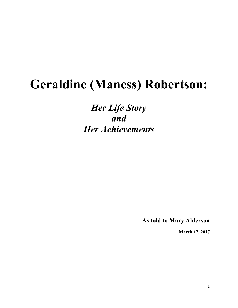## **Geraldine (Maness) Robertson:**

*Her Life Story and Her Achievements*

**As told to Mary Alderson** 

**March 17, 2017**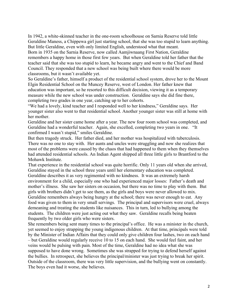In 1942, a white-skinned teacher in the one-room schoolhouse on Sarnia Reserve told little Geraldine Maness, a Chippewa girl just starting school, that she was too stupid to learn anything. But little Geraldine, even with only limited English, understood what that meant. Born in 1935 on the Sarnia Reserve, now called Aamjiwnaang First Nation, Geraldine remembers a happy home in those first few years. But when Geraldine told her father that the teacher said that she was too stupid to learn, he became angry and went to the Chief and Band Council. They responded that a new school was being built where there would be more classrooms, but it wasn't available yet.

So Geraldine's father, himself a product of the residential school system, drove her to the Mount Elgin Residential School on the Muncey Reserve, west of London. Her father knew that education was important, so he resorted to this difficult decision, viewing it as a temporary measure while the new school was under construction. Geraldine says she did fine there, completing two grades in one year, catching up to her cohorts.

"We had a lovely, kind teacher and I responded well to her kindness," Geraldine says. Her younger sister also went to that residential school. Another younger sister was still at home with her mother.

Geraldine and her sister came home after a year. The new four room school was completed, and Geraldine had a wonderful teacher. Again, she excelled, completing two years in one. "It confirmed I wasn't stupid," smiles Geraldine.

But then tragedy struck. Her father died, and her mother was hospitalized with tuberculosis. There was no one to stay with. Her aunts and uncles were struggling and now she realizes that most of the problems were caused by the chaos that had happened to them when they themselves had attended residential schools. An Indian Agent shipped all three little girls to Brantford to the Mohawk Institute.

That experience in the residential school was quite horrific. Only 11 years old when she arrived, Geraldine stayed in the school three years until her elementary education was completed. Geraldine describes it as very regimented with no kindness. It was an extremely harsh environment for a child, especially one who had experienced major losses: Father's death and mother's illness. She saw her sisters on occasion, but there was no time to play with them. But girls with brothers didn't get to see them, as the girls and boys were never allowed to mix. Geraldine remembers always being hungry at the school; there was never enough to eat. Any food was given to them in very small servings. The principal and supervisors were cruel, always demeaning and treating the students like nuisances. This in turn, led to bullying among the students. The children were just acting out what they saw. Geraldine recalls being beaten frequently by two older girls who were sisters.

She remembers being sent many times to the principal's office. He was a minister in the church, yet seemed to enjoy strapping the young indigenous children. At that time, principals were told by the Minister of Indian Affairs that they could only give children four lashes, two on each hand – but Geraldine would regularly receive 10 to 15 on each hand. She would feel faint, and her veins would be pulsing with pain. Most of the time, Geraldine had no idea what she was supposed to have done wrong. Sometimes she was strapped for trying to defend herself against the bullies. In retrospect, she believes the principal/minister was just trying to break her spirit. Outside of the classroom, there was very little supervision, and the bullying went on constantly. The boys even had it worse, she believes.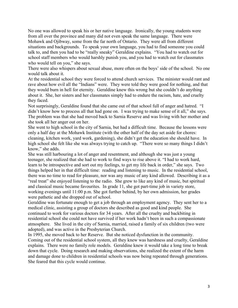No one was allowed to speak his or her native language. Ironically, the young students were from all over the province and many did not even speak the same language. There were Mohawk and Ojibway, some from the far north of Ontario. They were all from different situations and backgrounds. To speak your own language, you had to find someone you could talk to, and then you had to be "really sneaky" Geraldine explains. "You had to watch out for school staff members who would harshly punish you, and you had to watch out for classmates who would tell on you," she says.

There were also whispers about sexual abuse, more often on the boys' side of the school. No one would talk about it.

At the residential school they were forced to attend church services. The minister would rant and rave about how evil all the "Indians" were. They were told they were good for nothing, and that they would burn in hell for eternity. Geraldine knew this wrong but she couldn't do anything about it. She, her sisters and her classmates simply had to endure the racism, hate, and cruelty they faced.

Not surprisingly, Geraldine found that she came out of that school full of anger and hatred. "I didn't know how to process all that had gone on. I was trying to make sense of it all," she says. The problem was that she had moved back to Sarnia Reserve and was living with her mother and she took all her anger out on her.

She went to high school in the city of Sarnia, but had a difficult time. Because the lessons were only a half day at the Mohawk Institute (with the other half of the day set aside for chores: cleaning, kitchen work, yard work, gardening), she didn't get the education she should have. In high school she felt like she was always trying to catch up. "There were so many things I didn't know," she adds.

She was still harbouring a lot of anger and resentment, and although she was just a young teenager, she realized that she had to work to find ways to rise above it. "I had to work hard, learn to be introspective and sort out my feelings, to get my life back in order," she says. Two things helped her in that difficult time: reading and listening to music. In the residential school, there was no time to read for pleasure, nor was any music of any kind allowed. Describing it as a "real treat" she enjoyed listening to the radio. She grew to like any kind of music, but spiritual and classical music became favourites. In grade 11, she got part-time job in variety store, working evenings until 11:00 p.m. She got further behind, by her own admission, her grades were pathetic and she dropped out of school.

Geraldine was fortunate enough to get a job through an employment agency. They sent her to a medical clinic, assisting a group of doctors she described as good and kind people. She continued to work for various doctors for 34 years. After all the cruelty and backbiting in residential school she could not have survived if her work hadn't been in such a compassionate atmosphere. She lived in the city of Sarnia, married, raised a family of six children (two were adopted), and was active in the Presbyterian Church.

In 1995, she moved back to her Reserve. But she noticed dysfunction in the community. Coming out of the residential school system, all they knew was harshness and cruelty, Geraldine explains. There were no family role models. Geraldine knew it would take a long time to break down that cycle. Doing research and making observations, she realized the extent of the harm and damage done to children in residential schools was now being repeated through generations. She feared that this cycle would continue.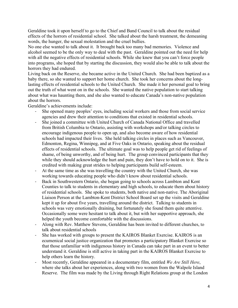Geraldine took it upon herself to go to the Chief and Band Council to talk about the residual effects of the horrors of residential school. She talked about the harsh treatment, the demeaning words, the hunger, the sexual molestation and the cruel bullies.

No one else wanted to talk about it. It brought back too many bad memories. Violence and alcohol seemed to be the only way to deal with the past. Geraldine pointed out the need for help with all the negative effects of residential schools. While she knew that you can't force people into programs, she hoped that by starting the discussion, they would also be able to talk about the horrors they had endured.

Living back on the Reserve, she became active in the United Church. She had been baptized as a baby there, so she wanted to support her home church. She took her concerns about the longlasting effects of residential schools to the United Church. She made it her personal goal to bring out the truth of what went on in the schools. She wanted the native population to start talking about what was haunting them, and she also wanted to educate Canada's non-native population about the horrors.

Geraldine's achievements include:

- She opened many peoples' eyes, including social workers and those from social service agencies and drew their attention to conditions that existed in residential schools.
- She joined a committee with United Church of Canada National Office and travelled from British Columbia to Ontario, assisting with workshops and/or talking circles to encourage indigenous people to open up, and also become aware of how residential schools had impacted their lives. She held talking circles in places such as Vancouver, Edmonton, Regina, Winnipeg, and at Five Oaks in Ontario, speaking about the residual effects of residential schools. The ultimate goal was to help people get rid of feelings of shame, of being unworthy, and of being hurt. The group convinced participants that they while they should acknowledge the hurt and pain, they don't have to hold on to it. She is credited with making great strides to helping participants build self-esteem.
- At the same time as she was travelling the country with the United Church, she was working towards educating people who didn't know about residential schools.
- Back in Southwestern Ontario, she began going to schools across Lambton and Kent Counties to talk to students in elementary and high schools, to educate them about history of residential schools. She spoke to students, both native and non-native. The Aboriginal Liaison Person at the Lambton-Kent District School Board set up the visits and Geraldine kept it up for about five years, travelling around the district. Talking to students in schools was very emotionally draining, but fortunately she found them quite attentive. Occasionally some were hesitant to talk about it, but with her supportive approach, she helped the youth become comfortable with the discussions.
- Along with Rev. Matthew Stevens, Geraldine has been invited to different churches, to talk about residential schools
- She has worked with groups to present the KAIROS Blanket Exercise. KAIROS is an ecumenical social justice organization that promotes a participatory Blanket Exercise so that those unfamiliar with indigenous history in Canada can take part in an event to better understand it. Geraldine is still active in taking part in the KAIROS Blanket Exercise to help others learn the history.
- Most recently, Geraldine appeared in a documentary film, entitled *We Are Still Here*, where she talks about her experiences, along with two women from the Walpole Island Reserve. The film was made by the Living through Right Relations group at the London